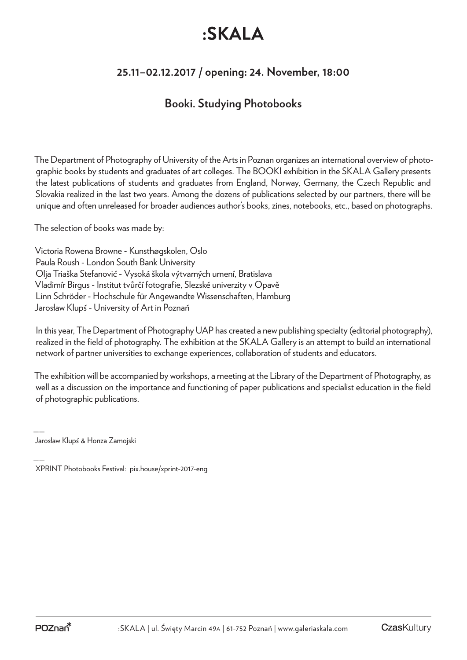# :SKALA

## **25.11–02.12.2017 / opening: 24. November, 18:00**

### **Booki. Studying Photobooks**

The Department of Photography of University of the Arts in Poznan organizes an international overview of photographic books by students and graduates of art colleges. The BOOKI exhibition in the SKALA Gallery presents the latest publications of students and graduates from England, Norway, Germany, the Czech Republic and Slovakia realized in the last two years. Among the dozens of publications selected by our partners, there will be unique and often unreleased for broader audiences author's books, zines, notebooks, etc., based on photographs.

The selection of books was made by:

Victoria Rowena Browne - Kunsthøgskolen, Oslo Paula Roush - London South Bank University Olja Triaška Stefanović - Vysoká škola výtvarných umení, Bratislava Vladimír Birgus - Institut tvůrčí fotografie, Slezské univerzity v Opavě Linn Schröder - Hochschule für Angewandte Wissenschaften, Hamburg Jarosław Klupś - University of Art in Poznań

In this year, The Department of Photography UAP has created a new publishing specialty (editorial photography), realized in the field of photography. The exhibition at the SKALA Gallery is an attempt to build an international network of partner universities to exchange experiences, collaboration of students and educators.

The exhibition will be accompanied by workshops, a meeting at the Library of the Department of Photography, as well as a discussion on the importance and functioning of paper publications and specialist education in the field of photographic publications.

—— Jarosław Klupś & Honza Zamojski

<sup>——</sup> XPRINT Photobooks Festival: pix.house/xprint-2017-eng